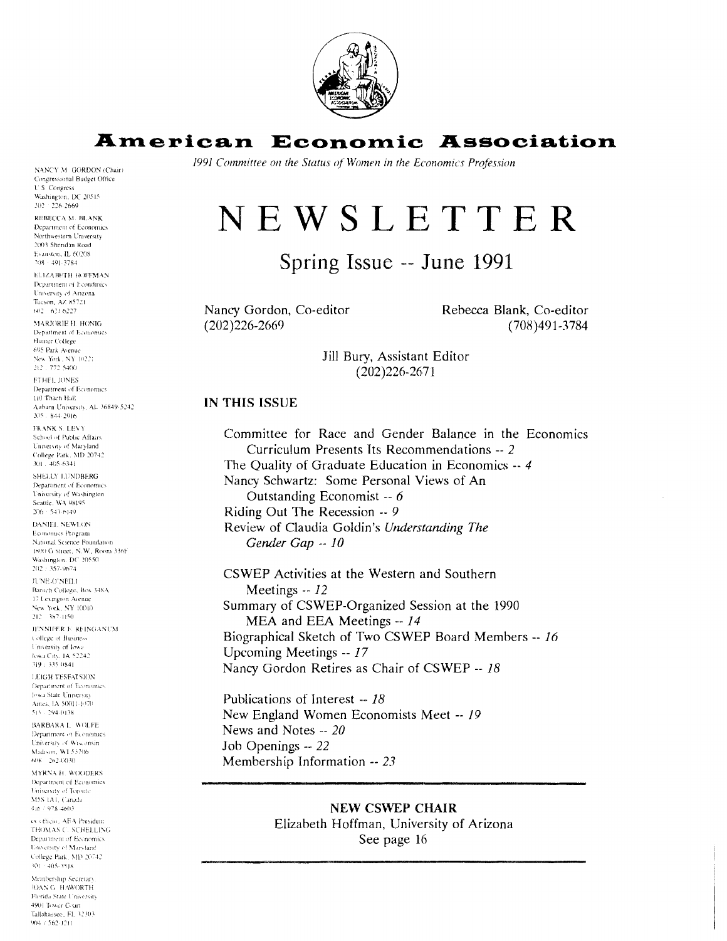

# **American Economic Association**

1991 Committee on the Status of Women in the Economics Profession

# NEWSLETTER

# Spring Issue -- June 1991

Nancy Gordon, Co-editor  $(202)226 - 2669$ 

Rebecca Blank, Co-editor  $(708)491 - 3784$ 

Jill Bury, Assistant Editor  $(202)226 - 2671$ 

#### IN THIS ISSUE

Committee for Race and Gender Balance in the Economics Curriculum Presents Its Recommendations -- 2 The Ouality of Graduate Education in Economics -- 4 Nancy Schwartz: Some Personal Views of An Outstanding Economist -- 6 Riding Out The Recession -- 9 Review of Claudia Goldin's Understanding The Gender Gap -- 10

CSWEP Activities at the Western and Southern Meetings -- 12 Summary of CSWEP-Organized Session at the 1990 MEA and EEA Meetings -- 14 Biographical Sketch of Two CSWEP Board Members -- 16 Upcoming Meetings -- 17 Nancy Gordon Retires as Chair of CSWEP -- 18

Publications of Interest -- 18 New England Women Economists Meet -- 19 News and Notes -- 20 Job Openings -- 22 Membership Information -- 23

> **NEW CSWEP CHAIR** Elizabeth Hoffman, University of Arizona See page 16

NANCY M. GORDON (Chair) Congressional Budget Office **U.S. Congress** Washington, DC 20515<br>202 226-2669 REBECCA M. BLANK Department of Economics Northwestern University 2003 Shendan Road Evanston, IL 60208 708 - 491, 3784

**ELIZABETH HOFFMAN** Department of Economics University of Arizona Tacson, AZ 85721  $602 - 621 - 6227$ 

MARJORIE H. HONIG Department of Economics Hunter College 695 Park Avenue New York, NY 10221 212 - 772 5400 **ETHEL JONES** 

Department of Economics 110 Than Hall Auburn University, AL 36849-5242 205 - 844-2916

**FRANK S. LEVY** School of Public Affairs University of Maryland College Park, MD 20742  $301 - 405.6341$ 

SHELLY LUNDBERG Department of Economics University of Washington Seattle, WA 98195  $206 - 543.6149$ 

DANIEL NEWLON Economics Program National Science Foundation 1800 G Street, N.W., Room 336F Washington, DC 20550

 $202 \div 357 - 9674$ JUNE O'NEILI Baruch College, Box 348A 17 Lexington Avenue New York, NY 10010

212 387-1150 JENNIFER E REINGANUM College of Business University of Iow:

lowa City, IA 52242 319 : 335 0841 **LEIGH TESEATSION** Denartment of Economics

Jowa State University Ames, IA 50011-1070 515 - 294-0138

BARBARA L. WOLFE Department of Economics University of Wisconsin<br>Madison, WI 53706  $608 - 262 - 0030$ 

MYRNA H. WOODERS Department of Economics University of Toront M5S IAL Canada 416 / 978-4603

ex officio. AEA President TROMAS C. SCHELLING Department of Economics University of Maryland College Park, MD 20742  $301 - 405.3518$ 

Membership Secretary **JOAN G. HAWORTH** -<br>Florida State University 4901 Tower Court Tallahassee, FL 32303 904 / 562-1211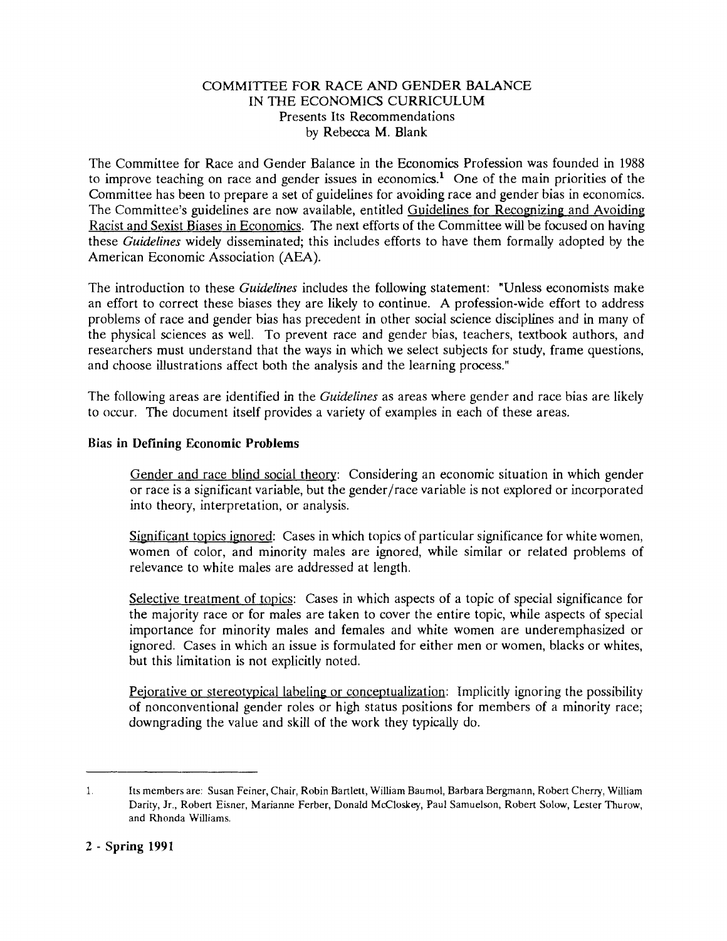#### COMMITTEE FOR RACE AND GENDER BALANCE IN THE ECONOMICS CURRICULUM Presents Its Recommendations by Rebecca M. Blank;

The Committee for Race and Gender Balance in the Economics Profession was founded in 1988 to improve teaching on race and gender issues in economics.' One of the main priorities of the Committee has been to prepare a set of guidelines for avoiding race and gender bias in economics. The Committee's guidelines are now available, entitled Guidelines for Recognizing and Avoiding Racist and Sexist Biases in Economics. The next efforts of the Committee will be focused on having these *Guidelines* widely disseminated; this includes efforts to have them formally adopted by the American Economic Association (AEA).

The introduction to these *Guidelines* includes the following statement: "Unless economists make an effort to correct these biases they are likely to continue. A profession-wide effort to address problems of race and gender bias has precedent in other social science disciplines and in many of the physical sciences as well. To prevent race and gender bias, teachers, textbook authors, and researchers must understand that the ways in which we select subjects for study, frame questions, and choose illustrations affect both the analysis and the learning process."

The following areas are identified in the *Guidelines* as areas where gender and race bias are likely to occur. The document itself provides a variety of examples in each of these areas.

#### **Bias in Defining Economic Problems**

Gender and race blind social theory: Considering an economic situation in which gender or race is a significant variable, but the gender/race variable is not explored or incorporated into theory, interpretation, or analysis.

Significant topics ignored: Cases in which topics of particular significance for white women, women of color, and minority males are ignored, while similar or related problems of relevance to white males are addressed at length.

Selective treatment of tonics: Cases in which aspects of a topic of special significance for the majority race or for males are taken to cover the entire topic, while aspects of special importance for minority males and females and white women are underemphasized or ignored. Cases in which an issue is formulated for either men or women, blacks or whites, but this limitation is not explicitly noted.

Pejorative or stereotypical labeling or conceptualization: Implicitly ignoring the possibility of nonconventional gender roles or high status positions for members of a minority race; downgrading the value and skill of the work they typically do.

<sup>1.</sup> Its members are: Susan Feiner, Chair, Robin Bartlett, William Baumol, Barbara Bergmann, Robert Cherry, William Darity, Jr., Robert Eisner, Marianne Ferber, Donald McCloskey, Paul Samuelson, Robert Solow, Lester Thurow, and Rhonda Williams.

**<sup>2</sup>** - **Spring 1991**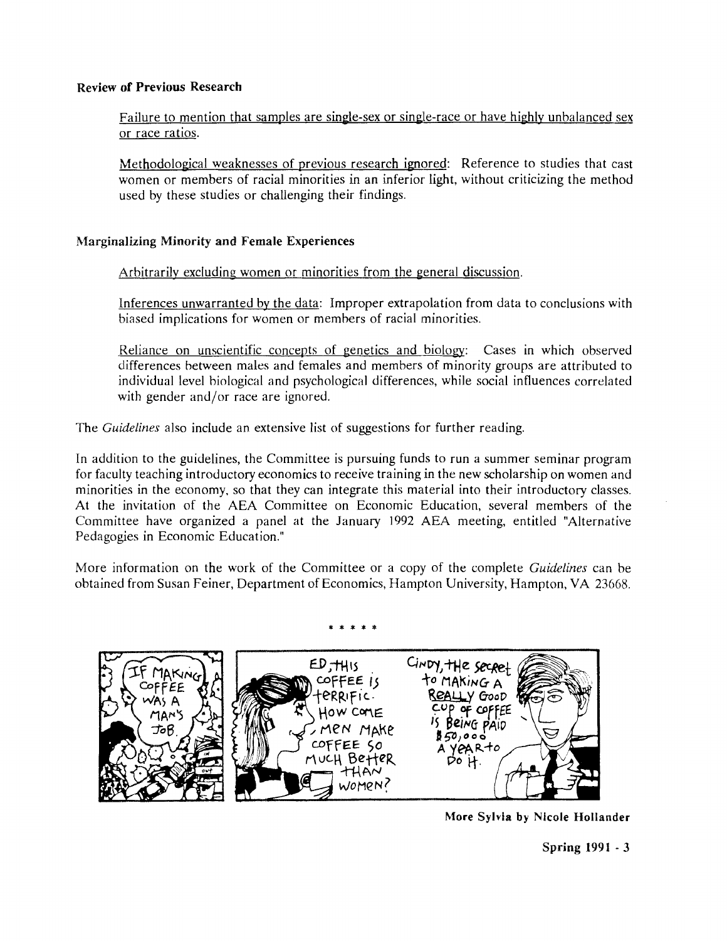#### **Review of Previous Research**

Failure to mention that samples are single-sex or single-race or have highly unbalanced sex or race ratios.

Methodological weaknesses of previous research ignored: Reference to studies that cast women or members of racial minorities in an inferior light, without criticizing the method used by these studies or challenging their findings.

## **Marginalizing Minority and Female Experiences**

Arbitrarily excluding women or minorities from the general discussion.

Inferences unwarranted bv the data: Improper extrapolation from data to conclusions with biased implications for women or members of racial minorities.

Reliance on unscientific concepts of genetics and biology: Cases in which observed differences between males and females and members of minority groups are attributed to individual level biological and psychological differences, while social influences correlated with gender and/or race are ignored.

The **Guidelines** also include an extensive list of suggestions for further reading.

In addition to the guidelines, the Committee is pursuing funds to run a summer seminar program for faculty teaching introductory economics to receive training in the new scholarship on women and minorities in the economy, so that they can integrate this material into their introductory classes. At the invitation of the AEA Committee on Economic Education, several members of the Committee have organized a panel at the January 1992 AEA meeting, entitled "Alternative Pedagogies in Economic Education."

More information on the work of the Committee or a copy of the complete **Guidelines** can be obtained from Susan Feiner, Department of Economics, Hampton University, Hampton, VA 23668.





**More Sylvia by Nicole Hollander** 

Spring 1991 - 3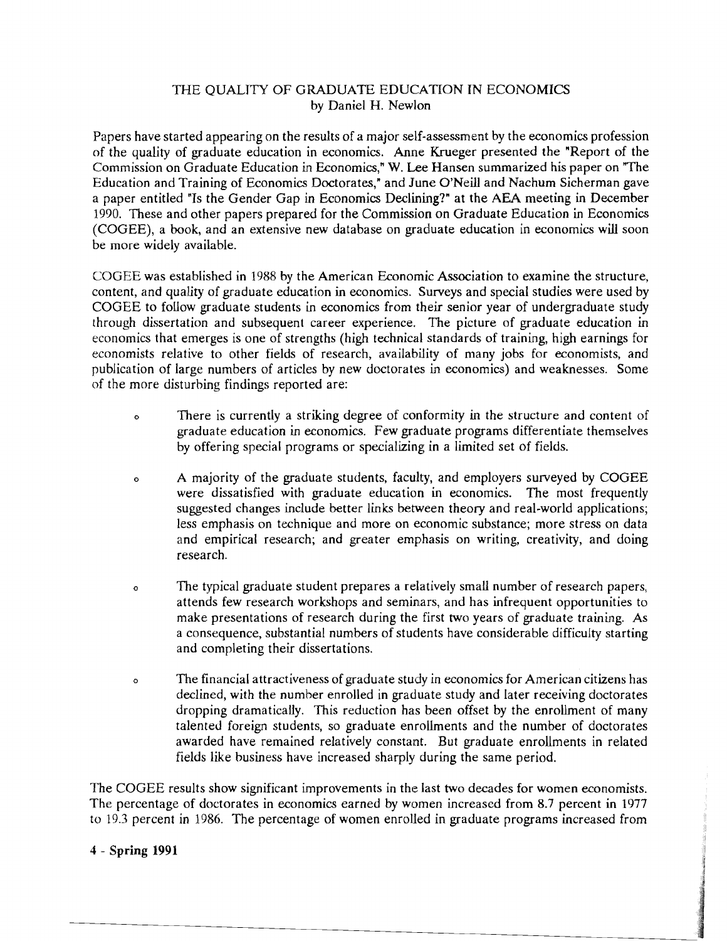## THE **QUALTTY** OF GRADUATE EDUCAF170N IN ECONOMICS by Daniel H, Newlon

Papers have started appearing on the results of a major self-assessment by the economics profession of the quality of graduate education in economics. Anne Krueger presented the "Report of the Commission on Graduate Education in Economics," W. Lee Hansen summarized his paper on "The Education and Training of Economics Doctorates," and June O'Neill and Nachum Sicherman gave a paper entitled "Is the Gender Gap in Economics Declining?" at the AEA meeting in December 1990. These and other papers prepared for the Commission on Graduate Education in Economics (COGEE), a book, and an extensive new database on graduate education in economics will soon be more widely available.

COGEE was established in 1988 by the American Economic Association to examine the structure, content, and quality of graduate education in economics. Surveys and special studies were used by COGEE to follow graduate students in economics from their senior year of undergraduate study through dissertation and subsequent career experience. The picture of graduate education in economics that emerges is one of strengths (high technical standards of training, high earnings for economists relative to other fields of research, availability of many jobs for economists, and publication of large numbers of articles by new doctorates in economics) and weaknesses. Some of the more disturbing findings reported are:

- **<sup>o</sup>**There is currently a striking degree of conformity in the structure and content of graduate education in economics. Few graduate programs differentiate themselves by offering special programs or specializing in a limited set of fields.
- **<sup>o</sup>**A majority of the graduate students, faculty, and employers surveyed by COGEE were dissatisfied with graduate education in economics. The most frequently suggested changes include better links between theory and real-world applications; less emphasis on technique and more on economic substance; more stress on data and empirical research; and greater emphasis on writing, creativity, and doing research.
- **<sup>0</sup>**The typical graduate student prepares a relatively small number of research papers, attends few research workshops and seminars, and has infrequent opportunities to make presentations of research during the first two years of graduate training. As a consequence, substantial numbers of students have considerable difficulty starting and completing their dissertations.
- **<sup>o</sup>**The financial attractiveness of graduate study in economics for American citizens has declined, with the number enrolled in graduate study and later receiving doctorates dropping dramatically. This reduction has been offset by the enrollment of many talented foreign students, so graduate enrollments and the number of doctorates awarded have remained relatively constant. But graduate enrollments in related fields like business have increased sharply during the same period.

The COGEE results show significant improvements in the last two decades for women economists. The percentage of doctorates in economics earned by women increased from 8.7 percent in 1977 to 19.3 percent in 1986. The percentage of women enrolled in graduate programs increased from

## 4 - Spring 1991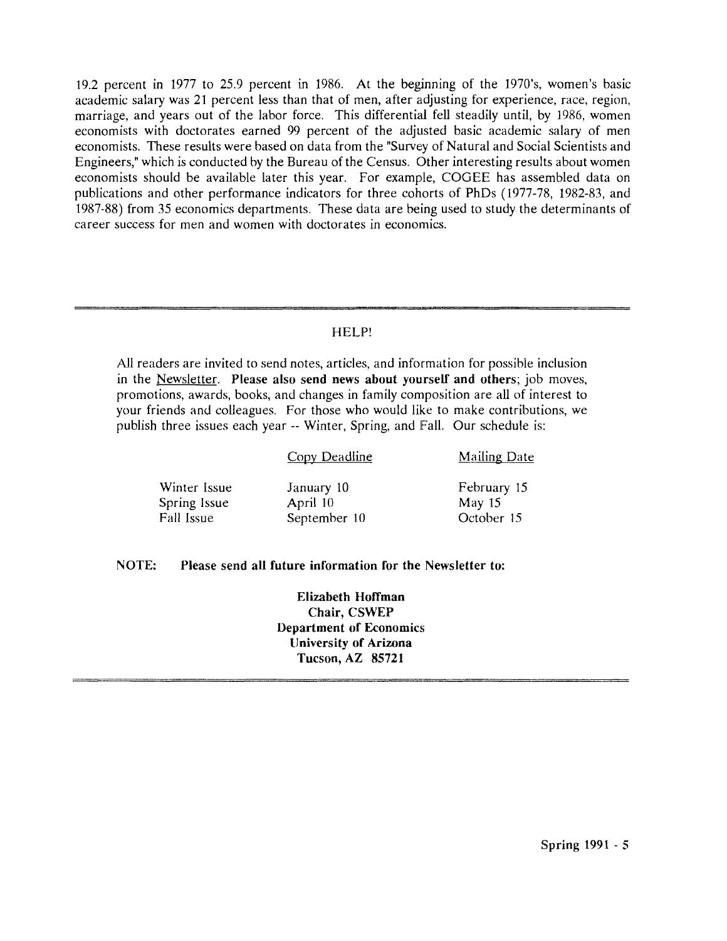19.2 percent in 1977 to 25.9 percent in 1986. At the beginning of the 1970's. women's basic academic salary was 21 percent less than that of men, after adjusting for experience, race, region, marriage, and years out of the labor force. This differential fell steadily until, by 1986, women economists with doctorates earned 99 percent of the adjusted basic academic salary of men economists. These results were based on data from the "Survey of Natural and Social Scientists and Engineers," which is conducted by the Bureau of the Census. Other interesting results about women economists should be available later this year. For example, COGEE has assembled data on publications and other performance indicators for three cohorts of PhDs (1977-78, 1982-83, and 1987-88) from 35 economics departments. These data are being used to study the determinants of career success for men and women with doctorates in economics.

#### HELP!

*All* readers are invited to send notes, articles, and information for possible inclusion in the Newsletter. **Please also send news about yourself and others;** job moves, promotions, awards, books, and changes in family composition are all of interest to your friends and colleagues. For those who would like to make contributions, we publish three issues each year -- Winter, Spring, and Fall. Our schedule is:

|                                            | <b>Copy Deadline</b>                   | <b>Mailing Date</b>                   |
|--------------------------------------------|----------------------------------------|---------------------------------------|
| Winter Issue<br>Spring Issue<br>Fall Issue | January 10<br>April 10<br>September 10 | February 15<br>May $15$<br>October 15 |
|                                            |                                        |                                       |

## **NOTE: Please send all future information for the Newsletter to:**

**Elizabeth Hoffman Chair, CSWEP Department of Economics IJniversity of Arizona Tucson, AZ 85721**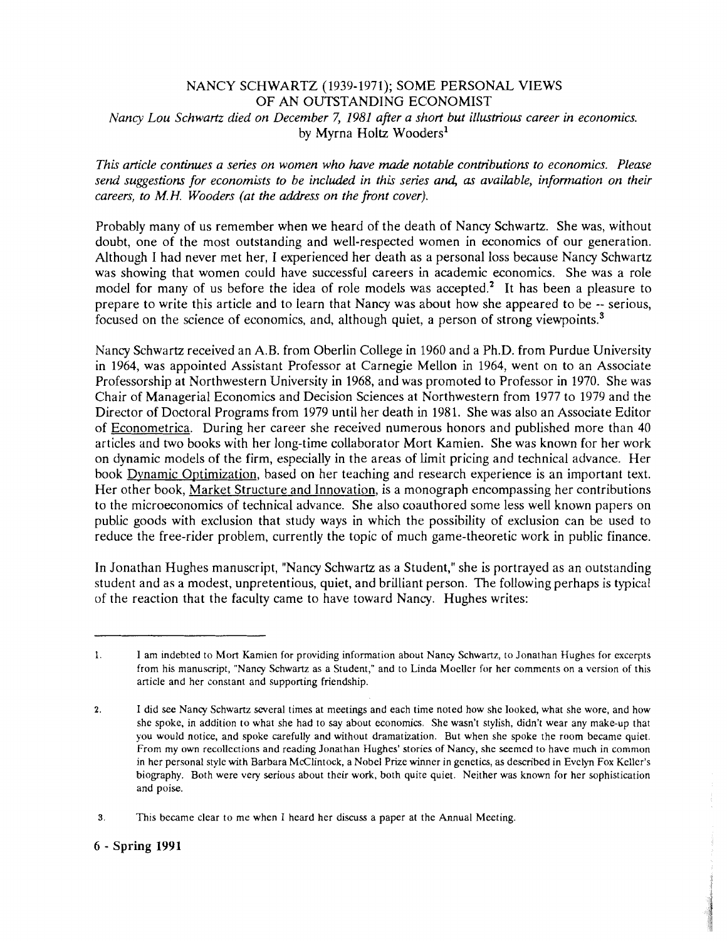#### NANCY SCHWARTZ (1939-1971); SOME PERSONAL VIEWS OF AN OUTSTANDING ECONOMIST *Nancy Lou Schwartz died on December 7, 1981 after a short but illustrious career in economics.* by Myrna Holtz Wooders<sup>1</sup>

*This article continues a series on women who have made notable contributions to economics. Please*  send suggestions for economists to be included in this series and, as available, information on their *careers, to M. H. Wooders (at the address on the front cover).* 

Probably many of us remember when we heard of the death of Nancy Schwartz. She was, without doubt, one of the most outstanding and well-respected women in economics of our generation. Although I had never met her, I experienced her death as a personal loss because Nancy Schwartz was showing that women could have successful careers in academic economics. She was a role model for many of us before the idea of role models was accepted.<sup>2</sup> It has been a pleasure to prepare to write this article and to learn that Nancy was about how she appeared to be -- serious, focused on the science of economics, and, although quiet, a person of strong viewpoints. $<sup>3</sup>$ </sup>

Nancy Schwartz received an A.B. from Oberlin College in 11960 and a Ph.D. from Purdue University in 1964, was appointed Assistant Professor at Carnegie Mellon in 1964, went on to an Associate Professorship at Northwestern University in 1968, and was promoted to Professor in 1970. She was Chair of Managerial Economics and Decision Sciences at Northwestern from 1977 to 1979 and the Director of Doctoral Programs from 1979 until her death in 1981. She was also an Associate Editor of Econometrica. During her career she received numerous honors and published more than 40 articles and two books with her long-time collaborator Mort Kamien. She was known for her work on dynamic models of the firm, especially in the areas of limit pricing and technical advance. Her book Dvnamic Optimization, based on her teaching and research experience is an important text. Her other book, Market Structure and Innovation, is a monograph encompassing her contributions to the microeconomics of technical advance. She also coauthored some less well known papers on public goods with exclusion that study ways in which the possibility of exclusion can be used to reduce the free-rider problem, currently the topic of much game-theoretic work in public finance.

In Jonathan Hughes manuscript, "Nancy Schwartz as a Student," she is portrayed as an outstanding student and as a modest, unpretentious, quiet, and brilliant person. The following perhaps is typical of the reaction that the faculty came to have toward Nancy. Hughes writes:

<sup>1.</sup> I am indebted to Mort Kamien for providing information about Nancy Schwartz, to Jonathan Hughes for excerpts from his manuscript, "Nancy Schwartz as a Student," and to Linda Moeller for her comments on a version of this article and her constant and supporting friendship.

**<sup>2.</sup>** I did *see* Nancy Schwartz several times at meetings and each time noted how she looked, what she wore, and how she spoke, in addition to what she had to say about economics. She wasn't stylish, didn't wear any make-up that you would notice, and spoke carefully and without dramatization. But when she spoke the room became quiet. From my own recollections and reading Jonathan Hughes' stories of Nancy, she seemed to have much in common in her personal style with Barbara McClintock, a Nobel Prize winner in genetics, as described in Evelyn Fox Keller's biography. Both were very serious about their work, both quite quiet. Neither was known for her sophistication and poise.

**<sup>3.</sup>** This became clear to me when I heard her discuss a paper at the Annual Meeting,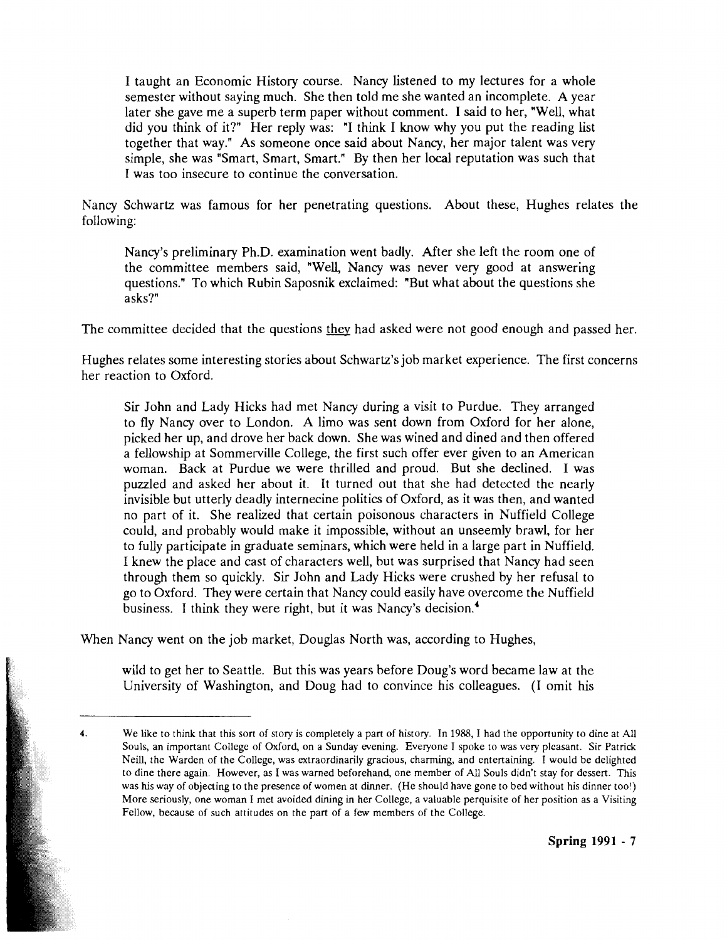I taught an Economic History course. Nancy listened to my lectures for a whole semester without saying much. She then told me she wanted an incomplete. A year later she gave me a superb term paper without comment. I said to her, "Well, what did you think of it?" Her reply was: "I think I know why you put the reading list together that way." As someone once said about Nancy, her major talent was very simple, she was "Smart, Smart, Smart." By then her local reputation was such that I was too insecure to continue the conversation.

Nancy Schwartz was famous for her penetrating questions. About these, Hughes relates the following:

Nancy's preliminary Ph.D. examination went badly. After she left the room one of the committee members said, "Well, Nancy was never very good at answering questions." To which Rubin Saposnik exclaimed: "But what about the questions she asks?"

The committee decided that the questions they had asked were not good enough and passed her.

Hughes relates some interesting stories about Schwartz's job market experience. The first concerns her reaction to Oxford.

Sir John and Lady Hicks had met Nancy during a visit to Purdue. They arranged to fly Nancy over to London. A limo was sent down from Oxford for her alone, picked her up, and drove her back down. She was wined and dined and then offered a fellowship at Sommerville College, the first such offer ever given to an American woman. Back at Purdue we were thrilled and proud. But she declined. I was puzzled and asked her about it. Tt turned out that she had detected the nearly invisible but utterly deadly internecine politics of Oxford, as it was then, and wanted no part of it. She realized that certain poisonous characters in Nuffield College could, and probably would make it impossible, without an unseemly brawl, for her to fully participate in graduate seminars, which were held in a large part in Nuffield. I knew the place and cast of characters well, but was surprised that Nancy had seen through them so quickly. Sir John and Lady Hicks were crushed by her refusal to go to Oxford. They were certain that Nancy could easily have overcome the Nuffield business. 1 think they were right, but it was Nancy's decision.'

When Nancy went on the job market, Douglas North was, according to Hughes,

wild to get her to Seattle. But this was years before Doug's word became law at the University of Washington, and Doug had to convince his colleagues. (T omit his

**<sup>4.</sup>** We like to think that this sort of story is completely a part of history. In 1988, I had the opportunity to dine at All Souls, an important College of Oxford, on a Sunday evening. Everyone I spoke to was very pleasant. Sir Patrick Neill, the Warden of the College, was extraordinarily gracious, charming, and entertaining. I would be delighted to dine there again. However, as I was warned beforehand, one member of *All* Souls didn't stay for dessert. This was his way of objecting to the presence of women at dinner. (He should have gone to bed without his dinner tool) More seriously, one woman I met avoided dining in her College, a valuable perquisite of her position as a Visiting Fellow, because of such attitudes on the part of a few members of the College.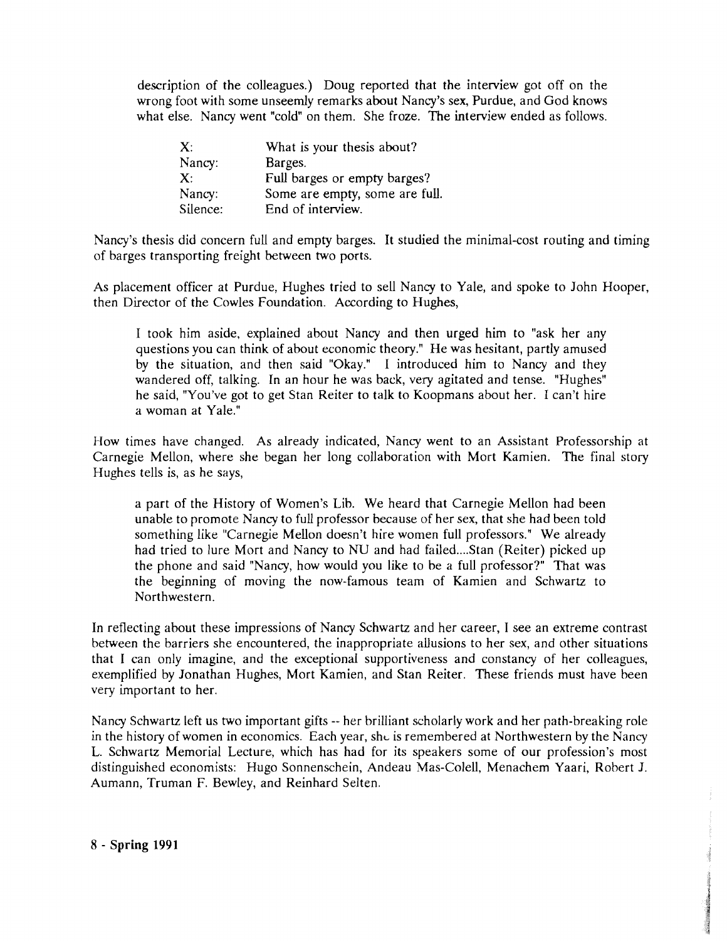description of the colleagues.) Doug reported that the interview got off on the wrong foot with some unseemly remarks about Nancy's sex, Furdue, and God knows what else. Nancy went "cold" on them. She froze. The interview ended as follows.

| X:          | What is your thesis about?     |  |
|-------------|--------------------------------|--|
| Nancy:      | Barges.                        |  |
| $X^{\cdot}$ | Full barges or empty barges?   |  |
| Nancy:      | Some are empty, some are full. |  |
| Silence:    | End of interview.              |  |

Nancy's thesis did concern full and empty barges. It studied the minimal-cost routing and timing of barges transporting freight between two ports.

As placement officer at Purdue, Hughes tried to sell Nancy to Yale, and spoke to John Hooper, then Director of the Cowles Foundation. According to Hughes,

I took him aside, explained about Nancy and then urged him to "ask her any questions you can think of about economic theory." He was hesitant, partly amused by the situation, and then said "Okay." I introduced him to Nancy and they wandered off, talking. In an hour he was back, very agitated and tense. "Hughes" he said, "You've got to get Stan Reiter to talk to Koopmans about her. I can't hire a woman at Yale."

How times have changed. As already indicated, Nancy went to an Assistant Professorship at Carnegie Mellon, where she began her long collaboration with Mort Kamien. The final story Hughes tells is, as he says,

a part of the History of Women's Lib. We heard that Carnegie Mellon had been unable to promote Nancy to full professor because of her sex, that she had been told something like "Carnegie Mellon doesn't hire women full professors." We already had tried to lure Mort and Nancy to NU and had failed.... Stan (Reiter) picked up the phone and said "Nancy, how would you like to be a full professor?" That was the beginning of moving the now-famous team of Kamien and Schwartz to Northwestern.

In reflecting about these impressions of Nancy Schwartz and her career, I see an extreme contrast between the barriers she encountered, the inappropriate allusions to her sex, and other situations that I can only imagine, and the exceptional supportiveness and constancy of her colleagues, exemplified by Jonathan Hughes, Mort Kamien, and Stan Reiter. These friends must have been very important to her.

Nancy Schwartz left us two important gifts -- her brilliant scholarly work and her path-breaking role in the history of women in economics. Each year, she is remembered at Northwestern by the Nancy L. Schwartz Memorial Lecture, which has had for its speakers some of our profession's most distinguished economists: Hugo Sonnenschein, Andeau Mas-Colell, Menachem Yaari, Robert J. Aumann, Truman F. Bewley, and Reinhard Selten.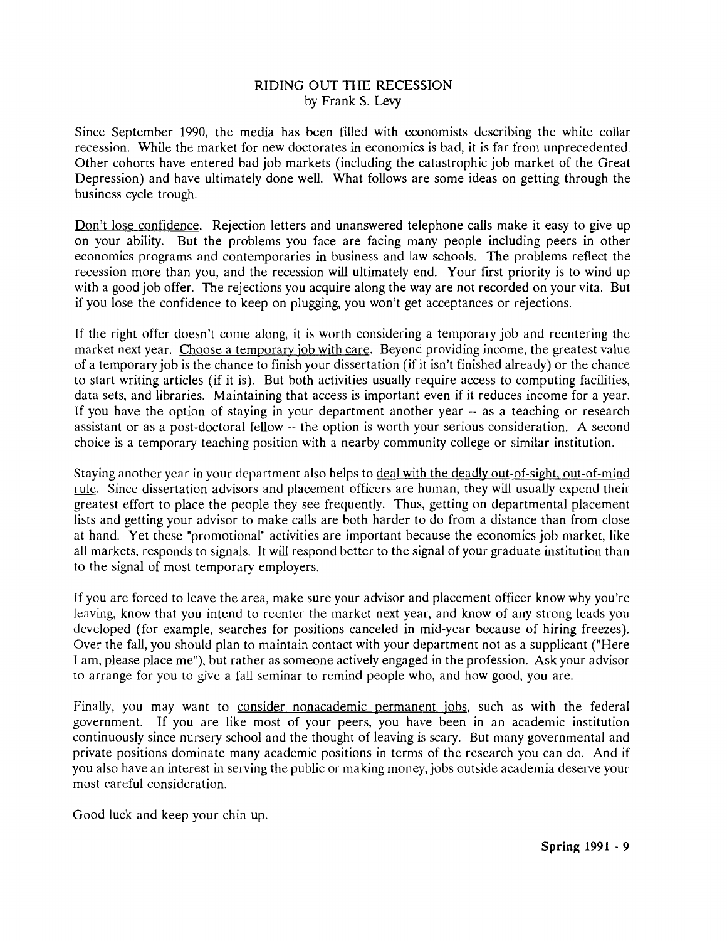#### RIDING OUT THE RECESSION by Frank S. Levy

Since September 1990, the media has been filled with economists describing the white collar recession. While the market for new doctorates in economics is bad, it is far from unprecedented. Other cohorts have entered bad job markets (including the catastrophic job market of the Great Depression) and have ultimately done well. What follows are some ideas on getting through the business cycle trough.

Don't lose confidence. Rejection letters and unanswered telephone calls make it easy to give up on your ability. But the problems you face are facing many people including peers in other economics programs and contemporaries in business and law schools. The problems reflect the recession more than you, and the recession will ultimately end. Your first priority is to wind up with a good job offer. The rejections you acquire along the way are not recorded on your vita. But if you lose the confidence to keep on plugging, you won't get acceptances or rejections.

If the right offer doesn't come along, it is worth considering a temporary job and reentering the market next year. Choose a temporary iob with care. Beyond providing income, the greatest value of a temporary job is the chance to finish your dissertation (if it isn't finished already) or the chance to start writing articles (if it is). But both activities usually require access to computing facilities, data sets, and libraries. Maintaining that access is important even if it reduces income for a year. If you have the option of staying in your department another year -- as a teaching or research assistant or as a post-doctoral fellow -- the option is worth your serious consideration. **A** second choice is a temporary teaching position with a nearby community college or similar institution.

Staying another year in your department also helps to deal with the deadlv out-of-sight. out-of-mind rule. Since dissertation advisors and placement officers are human, they will usually expend their greatest effort to place the people they see frequently. Thus, getting on departmental placement lists and getting your advisor to make calls are both harder to do from a distance than from close at hand. Yet these "promotional" activities are important because the economics job market, like all markets, responds to signals. It will respond better to the signal of your graduate institution than to the signal of most temporary employers.

If you are forced to leave the area, make sure your advisor and placement officer know why you're leaving, know that you intend to reenter the market next year, and know of any strong leads you developed (for example, searches for positions canceled in mid-year because of hiring freezes). Over the fall, you should plan to maintain contact with your department not as a supplicant ("Here I am, please place me"), but rather as someone actively engaged in the profession. Ask your advisor to arrange for you to give a fall seminar to remind people who, and how good, you are.

Finally, you may want to consider nonacademic permanent jobs, such as with the federal government. If you are like most of your peers, you have been in an academic institution continuously since nursery school and the thought of leaving is scary. But many governmental and private positions dominate many academic positions in terms of the research you can do. And if you also have an interest in serving the public or making money, jobs outside academia deserve your most careful consideration.

Good luck and keep your chin up.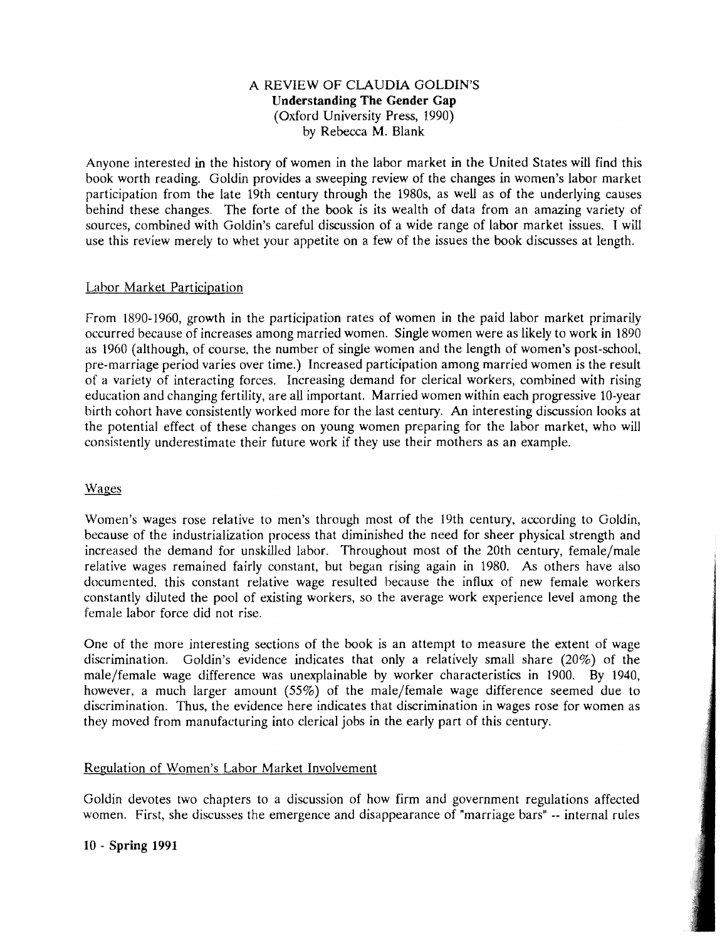#### A REVIEW OF CLAUDIA GOLDIN'S **Understanding The Gender Gap**  (Oxford University Press, 1990) by Rebecca M. Blank.

Anyone interested in the history of women in the labor market in the United States will find this book worth reading. Goldin provides a sweeping review of the changes in women's labor market participation from the late 19th century through the 1980s, as well as of the underlying causes behind these changes. The forte of the book is its wealth of data from an amazing variety of sources, combined with Goldin's careful discussion of a wide range of labor market issues. **T** will use this review merely to whet your appetite on a few of the issues the book discusses at length.

#### Labor Market Participation

From 1890-1960, growth in the participation rates of women in the paid labor market primarily occurred because of increases among married women. Single women were as likely to work in 1890 as 1960 (although, of course, the number of single women and the length of women's post-school, pre-marriage period varies over time.) Increased participation among married women is the result of a variety of interacting forces. Increasing demand for clerical workers, combined with rising education and changing fertility, are all important. Married women within each progressive 10-year birth cohort have consistently worked more for the last century. An interesting discussion looks at the potential effect of these changes on young women preparing for the labor market, who will consistently underestimate their future work if they use their mothers as an example.

## Wages

Women's wages rose relative to men's through most of the 19th century, according to Goldin, because of the industrialization process that diminished the need for sheer physical strength and increased the demand for unskilled labor. Throughout most of the 20th century, female/male relative wages remained fairly constant, but began rising again in 1980. As others have also documented. this constant relative wage resulted because the influx of new female workers constantly diluted the pool of existing workers, so the average work experience level among the female labor force did not rise.

One of the more interesting sections of the book is an attempt to measure the extent of wage discrimination. Goldin's evidence indicates that only a relatively small share (20%) of the male/female wage difference was unexplainable by worker characteristics in 1900. By 1940, however, a much larger amount (55%) of the male/female wage difference seemed due to discrimination. Thus, the evidence here indicates that discrimination in wages rose for women as they moved from manufacturing into clerical jobs in the early part of this century.

## Regulation of Women's Labor Market Involvement

Goldin devotes two chapters to a discussion of how firm and government regulations affected women. First, she discusses the emergence and disappearance of "marriage bars" -- internal rules

#### **10** - **Spring 1991**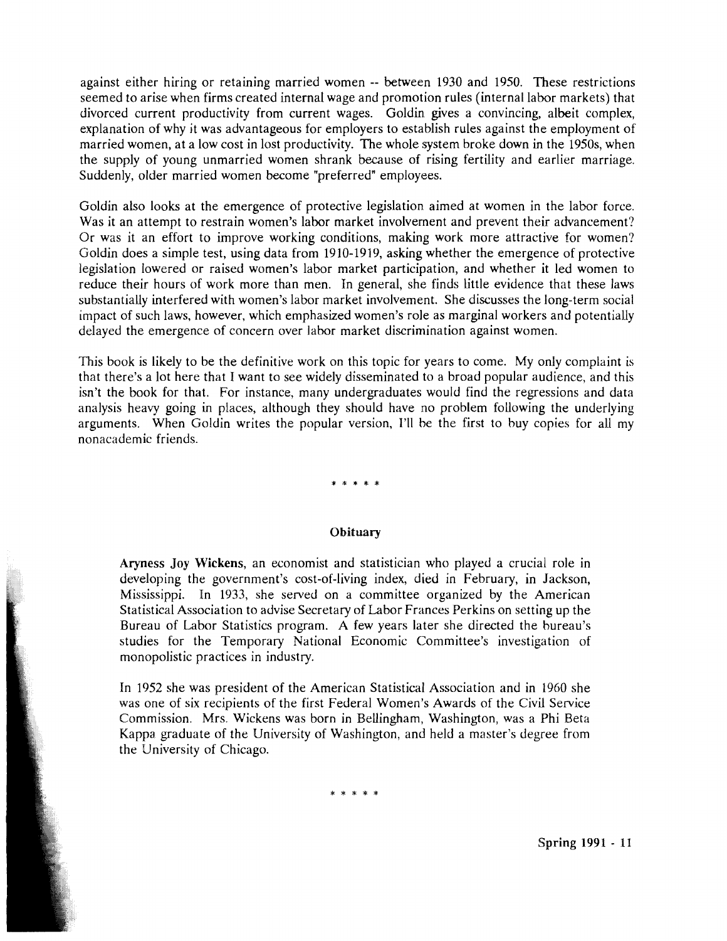against either hiring or retaining married women -- between 1930 and 1950. These restrictions seemed to arise when firms created internal wage and promotion rules (internal labor markets) that divorced current productivity from current wages. Goldin gives a convincing, albeit complex, explanation of why it was advantageous for employers to establish rules against the employment of married women, at a low cost in lost productivity. The whole system broke down in the 1950s, when the supply of young unmarried women shrank because of rising fertility and earlier marriage. Suddenly, older married women become "preferred" employees.

Goldin also looks at the emergence of protective legislation aimed at women in the labor force. Was it an attempt to restrain women's labor market involvernent and prevent their advancement? Or was it an effort to improve working conditions, making work more attractive for women? Goldin does a simple test, using data from 1910-1919, asking whether the emergence of protective legislation lowered or raised women's labor market participation, and whether it led women to reduce their hours of work more than men. In general, she finds little evidence that these laws substantially interfered with women's labor market involvement. She discusses the long-term social impact of such laws, however, which emphasized women's role as marginal workers and potentially delayed the emergence of concern over labor market discrimination against women.

This book is likely to be the definitive work on this topic for years to come. My only complaint is that there's a lot here that I want to see widely disseminated to a broad popular audience, and this isn't the book for that. For instance, many undergraduates would find the regressions and data analysis heavy going in places, although they should have no problem following the underlying arguments. When Goldin writes the popular version, I'll be the first to buy copies for all my nonacademic friends.

#### 

#### **Obituary**

**Aryness Joy Wickens,** an economist and statistician who played a crucial role in developing the government's cost-of-living index, died in February, in Jackson, Mississippi. In 1933, she served on a committee organized by the American Statistical Association to advise Secretary of Labor Frances Perkins on setting up the Bureau of Labor Statistics program. A few years later she directed the bureau's studies for the Temporary National Economic Committee's investigation of monopolistic practices in industry.

In 1952 she was president of the American Statistical Association and in 1960 she was one of six recipients of the first Federal Women's Awards of the Civil Service Commission. Mrs. Wickens was born in Bellingham, Washington, was a Phi Beta Kappa graduate of the University of Washington, and held a mater's degree from the University of Chicago.

\* \* \* \* \*